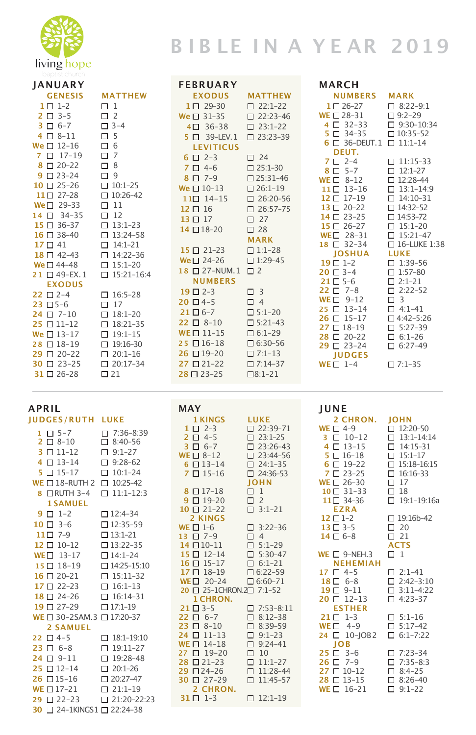

## **B I B L E I N A Y E AR 2019**

| <b>IANUARY</b>              |                                  | FEBRUARY             |                   | <b>MARCH</b>                                                                     |                               |
|-----------------------------|----------------------------------|----------------------|-------------------|----------------------------------------------------------------------------------|-------------------------------|
| COMPASS                     | <b>MATTMENT</b>                  | <b>EXISTENT</b>      | <b>MATTURN</b>    | <b>MARKET RTS</b>                                                                | MARY                          |
| 10110                       | n :                              | 10 20 10             | $72.22 - 22$      | 1028-27                                                                          | <b>DE22-91</b>                |
| 2614                        | o z                              | $-0.119 - 0.001$     | <b>District</b>   | <b>MT 028-11</b>                                                                 | 812-23                        |
| $10+7$                      | $\mathbf{D} = 0$                 | $0.18 - 0.01$        | <b>D</b> 210-22   | $4012 - 11$                                                                      | $\overline{B}$ = 30-10        |
| $-10.8 - 11$                | o :                              | $10$ month           | <b>District</b>   | $101 - 11$                                                                       | <b>B</b> iom-s                |
| $W = \overline{11} 12 - 26$ | ō.                               | <b>LEVITICSS</b>     |                   | $\bullet$ <b>D</b> in case.)                                                     | <b>D</b> 111-10               |
| $7.0117 - 00$               | ۰,                               | $0.2 - 0.0$<br>٠     | <b>D</b> 24       | <b>PURSEY</b>                                                                    |                               |
| <b>AD 20-22</b>             | o :                              | 7044                 | $2212 - 32$       | 7024                                                                             | $0.1111 -$                    |
| $0.0322 - 20$               | ō<br>٠                           | 10.74                | $225.33 - 66$     | $\mathbf{B}$ of $\mathbf{B}$<br>$\overline{m}$ $\overline{n}$ $\overline{n}$ -17 | <b>Distant</b><br>$71228 - 6$ |
| $220 - 23 - 23$             | nasa                             | $99 - 121 + 11$      | 1201-01           | $11011 - 11$                                                                     | n ssoo                        |
| $1107.77 - 28$              | $0.1026 - 0.7$                   |                      |                   | $120012 - 00$                                                                    | n Mari                        |
| $10 - 13 = 11$              | <b>D</b> 11                      | 110 14-11            | $D = 20 - 06$     | 1100000                                                                          | <b>B</b> uss                  |
| $14 \overline{B}$ 16-15     | 012                              | 12 0 16              | D rent-m          | мбла                                                                             | пина                          |
| $13.02 - 17$                | <b>Data-as</b>                   | 110117               | D27               | 1102227                                                                          | Base                          |
| $38 \overline{D} 18 - 62$   | <b>D</b> stress                  | 14 (218-20)          | <b>D</b> at       | MD 28-13                                                                         | <b>B</b> mate                 |
| $1700 +$                    | $0.141 - 0.1$                    |                      | MARY              | $18002 - 04$                                                                     | <b>Distant</b>                |
| $18\overline{B}$ (2-4)      | $\overline{\mathbf{B}}$ 1422-16  | 110 22-23            | $0.11 - 28$       | <b>IMAGES</b>                                                                    | <b>Televille</b>              |
| $30 - 12 + 12$              | $0.11 - 20$                      | <b>D</b> to me       | <b>Distant</b>    | $1801 - 2$                                                                       | <b>Distance</b>               |
| 21 0 49 48 1                | $n_{122-20.6}$                   | 18 ELEVATOR D        | D.                | $2001 - 4$                                                                       | <b>Diazed</b>                 |
| <b>ISODIA</b>               |                                  | <b>MOMENTO</b>       |                   | 21日1日                                                                            | $0.23 - 21$                   |
|                             | <b>Distances</b>                 | $1902-1$             | n :               | $\overline{H}$ D $\overline{H}$                                                  | <b>Data st</b>                |
| 22 02-4<br>$28 - 12 + 4$    | <b>D</b> 17                      | $20 \, \text{D}$ 6-3 | $\blacksquare$    | $n + 12$                                                                         | ō<br>ī                        |
| 24 0 7-10                   | <b>B</b> 183-20                  | $23.036 - 7$         | $211 - 20$        | 25 0 12-14                                                                       | n es-es                       |
|                             |                                  | $22 D + 10$          | <b>Distant</b>    | 28.02111                                                                         | Brens                         |
| $2101 - 12$                 | $2.1821 - 15$                    | WEID 11-11           | <b>DEL-20</b>     | $27 - 18 - 18$                                                                   | 6 szem                        |
| $W = 2311 - 17$             | FLORIDA 15                       |                      |                   | 380000                                                                           | Bason                         |
| 28 0 18-19                  | $\overline{\mathbf{n}}$ in as-no | $210 - 18 - 18$      | <b>D</b> 6.30-5.6 | 29 0 23-24                                                                       | Bazz-e                        |
| $29 - 70 - 22$              | $7.203 - 20$                     | 28 (219-20)          | <b>DAI-18</b>     | <b>IUDLES</b>                                                                    |                               |
| 10 0 21-21                  | $0.2017 - 0.6$                   | 270222               | $D236 - 17$       | $M$ <b>D</b> $-1$                                                                | $27.1 - 11$                   |
| 日目から                        | o»                               | 28 (223-23)          | D11-22            |                                                                                  |                               |

## $\overline{\phantom{a}}$ **APR IL**







32–33 9:30–10:34

**WE** 8–12 12:28–44 17–19 14:10–31

 32–34 16–LUKE 1:38 1–2 1:39–56